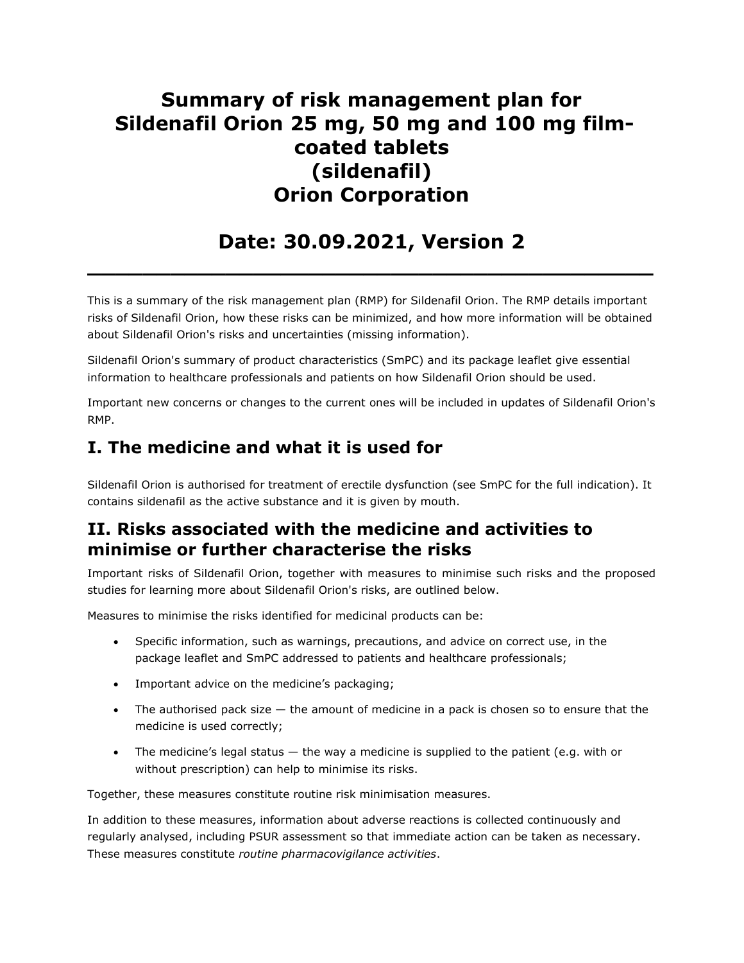## Summary of risk management plan for Sildenafil Orion 25 mg, 50 mg and 100 mg filmcoated tablets (sildenafil) Orion Corporation

# Date: 30.09.2021, Version 2

 $\overline{\phantom{a}}$  , and the contract of the contract of the contract of the contract of the contract of the contract of the contract of the contract of the contract of the contract of the contract of the contract of the contrac

This is a summary of the risk management plan (RMP) for Sildenafil Orion. The RMP details important risks of Sildenafil Orion, how these risks can be minimized, and how more information will be obtained about Sildenafil Orion's risks and uncertainties (missing information).

Sildenafil Orion's summary of product characteristics (SmPC) and its package leaflet give essential information to healthcare professionals and patients on how Sildenafil Orion should be used.

Important new concerns or changes to the current ones will be included in updates of Sildenafil Orion's RMP.

## I. The medicine and what it is used for

Sildenafil Orion is authorised for treatment of erectile dysfunction (see SmPC for the full indication). It contains sildenafil as the active substance and it is given by mouth.

## II. Risks associated with the medicine and activities to minimise or further characterise the risks

Important risks of Sildenafil Orion, together with measures to minimise such risks and the proposed studies for learning more about Sildenafil Orion's risks, are outlined below.

Measures to minimise the risks identified for medicinal products can be:

- Specific information, such as warnings, precautions, and advice on correct use, in the package leaflet and SmPC addressed to patients and healthcare professionals;
- Important advice on the medicine's packaging;
- The authorised pack size the amount of medicine in a pack is chosen so to ensure that the medicine is used correctly;
- The medicine's legal status  $-$  the way a medicine is supplied to the patient (e.g. with or without prescription) can help to minimise its risks.

Together, these measures constitute routine risk minimisation measures.

In addition to these measures, information about adverse reactions is collected continuously and regularly analysed, including PSUR assessment so that immediate action can be taken as necessary. These measures constitute routine pharmacovigilance activities.